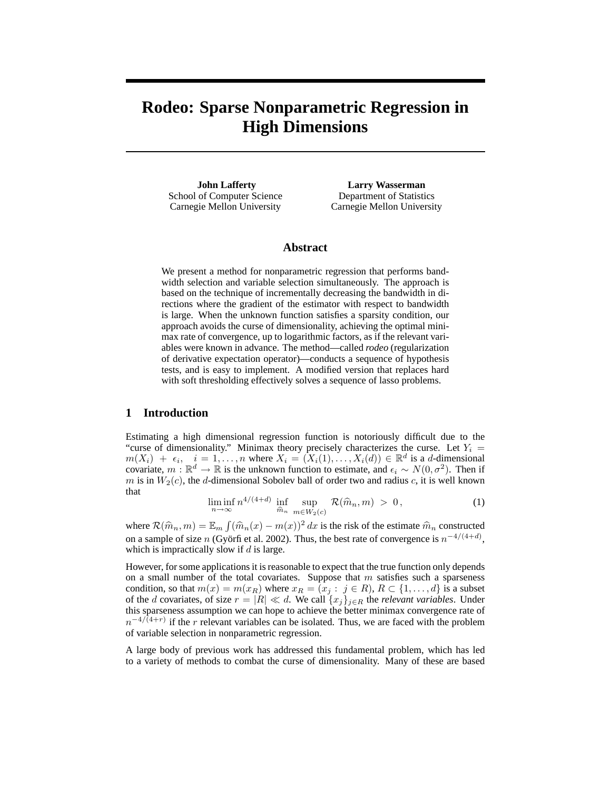# **Rodeo: Sparse Nonparametric Regression in High Dimensions**

**John Lafferty** School of Computer Science Carnegie Mellon University

**Larry Wasserman** Department of Statistics Carnegie Mellon University

## **Abstract**

We present a method for nonparametric regression that performs bandwidth selection and variable selection simultaneously. The approach is based on the technique of incrementally decreasing the bandwidth in directions where the gradient of the estimator with respect to bandwidth is large. When the unknown function satisfies a sparsity condition, our approach avoids the curse of dimensionality, achieving the optimal minimax rate of convergence, up to logarithmic factors, as if the relevant variables were known in advance. The method—called *rodeo* (regularization of derivative expectation operator)—conducts a sequence of hypothesis tests, and is easy to implement. A modified version that replaces hard with soft thresholding effectively solves a sequence of lasso problems.

### **1 Introduction**

Estimating a high dimensional regression function is notoriously difficult due to the "curse of dimensionality." Minimax theory precisely characterizes the curse. Let  $Y_i$  =  $m(X_i) + \epsilon_i$ ,  $i = 1, \ldots, n$  where  $X_i = (X_i(1), \ldots, X_i(d)) \in \mathbb{R}^d$  is a d-dimensional covariate,  $m : \mathbb{R}^d \to \mathbb{R}$  is the unknown function to estimate, and  $\epsilon_i \sim N(0, \sigma^2)$ . Then if m is in  $W_2(c)$ , the d-dimensional Sobolev ball of order two and radius c, it is well known that

$$
\liminf_{n \to \infty} n^{4/(4+d)} \inf_{\widehat{m}_n} \sup_{m \in W_2(c)} \mathcal{R}(\widehat{m}_n, m) > 0, \tag{1}
$$

where  $\mathcal{R}(\hat{m}_n, m) = \mathbb{E}_m \int (\hat{m}_n(x) - m(x))^2 dx$  is the risk of the estimate  $\hat{m}_n$  constructed on a sample of size n (Györfi et al. 2002). Thus, the best rate of convergence is  $n^{-4/(4+d)}$ , which is impractically slow if  $d$  is large.

However, for some applications it is reasonable to expect that the true function only depends on a small number of the total covariates. Suppose that  $m$  satisfies such a sparseness condition, so that  $m(x) = m(x_R)$  where  $x_R = (x_j : j \in R)$ ,  $R \subset \{1, ..., d\}$  is a subset of the d covariates, of size  $r = |R| \ll d$ . We call  $\{x_j\}_{j \in R}$  the *relevant variables*. Under this sparseness assumption we can hope to achieve the better minimax convergence rate of  $n^{-4/(4+r)}$  if the r relevant variables can be isolated. Thus, we are faced with the problem of variable selection in nonparametric regression.

A large body of previous work has addressed this fundamental problem, which has led to a variety of methods to combat the curse of dimensionality. Many of these are based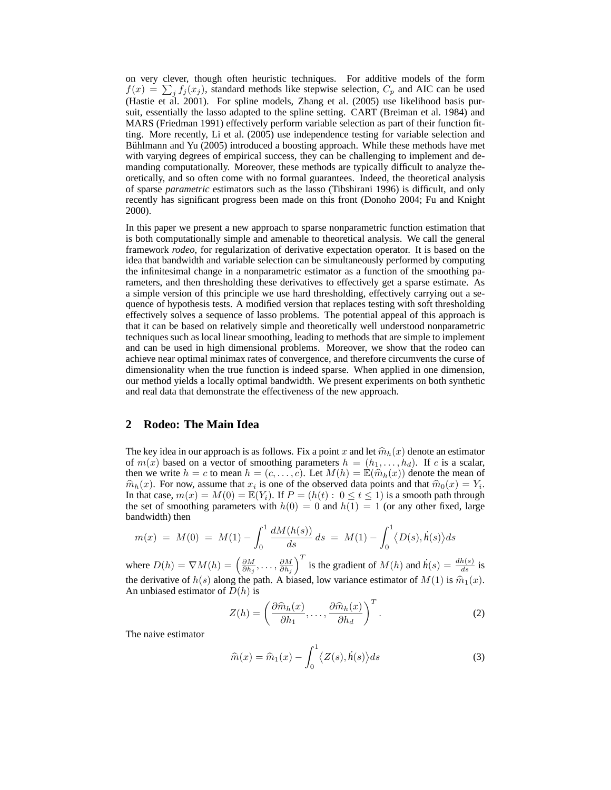on very clever, though often heuristic techniques. For additive models of the form  $f(x) = \sum_j f_j(x_j)$ , standard methods like stepwise selection,  $C_p$  and AIC can be used (Hastie et al. 2001). For spline models, Zhang et al. (2005) use likelihood basis pursuit, essentially the lasso adapted to the spline setting. CART (Breiman et al. 1984) and MARS (Friedman 1991) effectively perform variable selection as part of their function fitting. More recently, Li et al. (2005) use independence testing for variable selection and Bühlmann and Yu (2005) introduced a boosting approach. While these methods have met with varying degrees of empirical success, they can be challenging to implement and demanding computationally. Moreover, these methods are typically difficult to analyze theoretically, and so often come with no formal guarantees. Indeed, the theoretical analysis of sparse *parametric* estimators such as the lasso (Tibshirani 1996) is difficult, and only recently has significant progress been made on this front (Donoho 2004; Fu and Knight 2000).

In this paper we present a new approach to sparse nonparametric function estimation that is both computationally simple and amenable to theoretical analysis. We call the general framework *rodeo*, for regularization of derivative expectation operator. It is based on the idea that bandwidth and variable selection can be simultaneously performed by computing the infinitesimal change in a nonparametric estimator as a function of the smoothing parameters, and then thresholding these derivatives to effectively get a sparse estimate. As a simple version of this principle we use hard thresholding, effectively carrying out a sequence of hypothesis tests. A modified version that replaces testing with soft thresholding effectively solves a sequence of lasso problems. The potential appeal of this approach is that it can be based on relatively simple and theoretically well understood nonparametric techniques such as local linear smoothing, leading to methods that are simple to implement and can be used in high dimensional problems. Moreover, we show that the rodeo can achieve near optimal minimax rates of convergence, and therefore circumvents the curse of dimensionality when the true function is indeed sparse. When applied in one dimension, our method yields a locally optimal bandwidth. We present experiments on both synthetic and real data that demonstrate the effectiveness of the new approach.

# **2 Rodeo: The Main Idea**

The key idea in our approach is as follows. Fix a point x and let  $\hat{m}_h(x)$  denote an estimator of  $m(x)$  based on a vector of smoothing parameters  $h = (h_1, \ldots, h_d)$ . If c is a scalar, then we write  $h = c$  to mean  $h = (c, \ldots, c)$ . Let  $M(h) = \mathbb{E}(\widehat{m}_h(x))$  denote the mean of  $\hat{m}_h(x)$ . For now, assume that  $x_i$  is one of the observed data points and that  $\hat{m}_0(x) = Y_i$ .<br>In that case,  $m(x) = M(0) = \mathbb{F}(X)$ . If  $B = (h(t) : 0 \le t \le 1)$  is a smooth nath through In that case,  $m(x) = M(0) = \mathbb{E}(Y_i)$ . If  $P = (h(t): 0 \le t \le 1)$  is a smooth path through the set of smoothing parameters with  $h(0) = 0$  and  $h(1) = 1$  (or any other fixed, large bandwidth) then

$$
m(x) = M(0) = M(1) - \int_0^1 \frac{dM(h(s))}{ds} ds = M(1) - \int_0^1 \langle D(s), \dot{h}(s) \rangle ds
$$

where  $D(h) = \nabla M(h) = \left(\frac{\partial M}{\partial h_j}, \dots, \frac{\partial M}{\partial h_j}\right)$  $\int_0^T$  is the gradient of  $M(h)$  and  $\dot{h}(s) = \frac{dh(s)}{ds}$  is the derivative of  $h(s)$  along the path. A biased, low variance estimator of  $M(1)$  is  $\hat{m}_1(x)$ . An unbiased estimator of  $D(h)$  is

$$
Z(h) = \left(\frac{\partial \widehat{m}_h(x)}{\partial h_1}, \dots, \frac{\partial \widehat{m}_h(x)}{\partial h_d}\right)^T.
$$
 (2)

The naive estimator

$$
\widehat{m}(x) = \widehat{m}_1(x) - \int_0^1 \langle Z(s), \dot{h}(s) \rangle ds \tag{3}
$$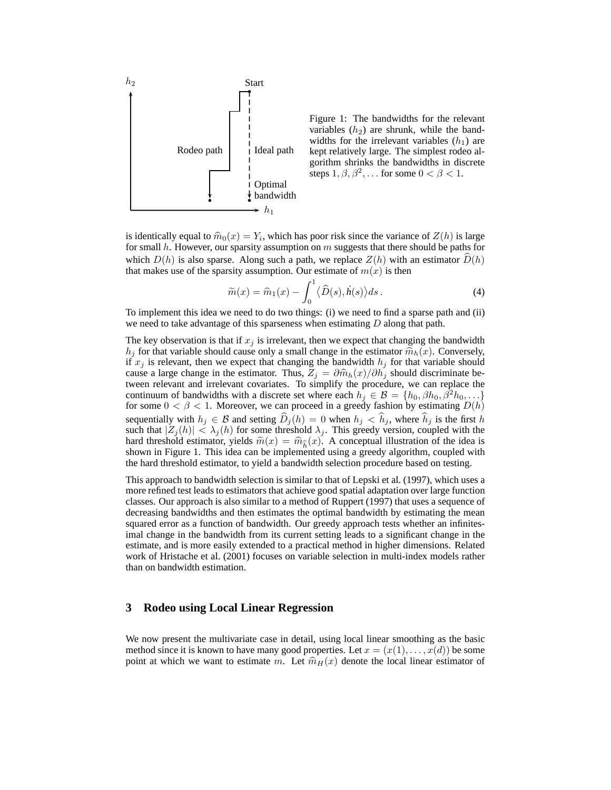

Figure 1: The bandwidths for the relevant variables  $(h_2)$  are shrunk, while the bandwidths for the irrelevant variables  $(h_1)$  are kept relatively large. The simplest rodeo algorithm shrinks the bandwidths in discrete steps  $1, \beta, \beta^2, \ldots$  for some  $0 < \beta < 1$ .

is identically equal to  $\hat{m}_0(x) = Y_i$ , which has poor risk since the variance of  $Z(h)$  is large<br>for small by Housings, our pressity essumption on m suggests that there should be notherformed. for small  $h$ . However, our sparsity assumption on  $m$  suggests that there should be paths for which  $D(h)$  is also sparse. Along such a path, we replace  $Z(h)$  with an estimator  $D(h)$ that makes use of the sparsity assumption. Our estimate of  $m(x)$  is then

$$
\widetilde{m}(x) = \widehat{m}_1(x) - \int_0^1 \langle \widehat{D}(s), \dot{h}(s) \rangle ds. \tag{4}
$$

To implement this idea we need to do two things: (i) we need to find a sparse path and (ii) we need to take advantage of this sparseness when estimating  $D$  along that path.

The key observation is that if  $x_j$  is irrelevant, then we expect that changing the bandwidth  $h_j$  for that variable should cause only a small change in the estimator  $\hat{m}_h(x)$ . Conversely, if  $x_j$  is relevant, then we expect that changing the bandwidth  $h_j$  for that variable should cause a large change in the estimator. Thus,  $Z_j = \partial \hat{m}_h(x)/\partial h_j$  should discriminate be-<br>tween relevant and irrelevant covariates. To simplify the procedure, we can replace the tween relevant and irrelevant covariates. To simplify the procedure, we can replace the continuum of bandwidths with a discrete set where each  $h_j \in \mathcal{B} = \{h_0, \beta h_0, \beta^2 h_0, \ldots\}$ for some  $0 < \beta < 1$ . Moreover, we can proceed in a greedy fashion by estimating  $D(h)$ sequentially with  $h_j \in \mathcal{B}$  and setting  $\hat{D}_j(h) = 0$  when  $h_j < \hat{h}_j$ , where  $\hat{h}_j$  is the first h such that  $|Z_j(h)| < \lambda_j(h)$  for some threshold  $\lambda_j$ . This greedy version, coupled with the hard threshold estimator, yields  $\widetilde{m}(x) = \widehat{m}_{\widehat{h}}(x)$ . A conceptual illustration of the idea is<br>shown in Figure 1. This idea can be implemented using a greedy elgorithm, coupled with shown in Figure 1. This idea can be implemented using a greedy algorithm, coupled with the hard threshold estimator, to yield a bandwidth selection procedure based on testing.

This approach to bandwidth selection is similar to that of Lepski et al. (1997), which uses a more refined test leads to estimators that achieve good spatial adaptation over large function classes. Our approach is also similar to a method of Ruppert (1997) that uses a sequence of decreasing bandwidths and then estimates the optimal bandwidth by estimating the mean squared error as a function of bandwidth. Our greedy approach tests whether an infinitesimal change in the bandwidth from its current setting leads to a significant change in the estimate, and is more easily extended to a practical method in higher dimensions. Related work of Hristache et al. (2001) focuses on variable selection in multi-index models rather than on bandwidth estimation.

# **3 Rodeo using Local Linear Regression**

We now present the multivariate case in detail, using local linear smoothing as the basic method since it is known to have many good properties. Let  $x = (x(1), \ldots, x(d))$  be some point at which we want to estimate m. Let  $\hat{m}_H(x)$  denote the local linear estimator of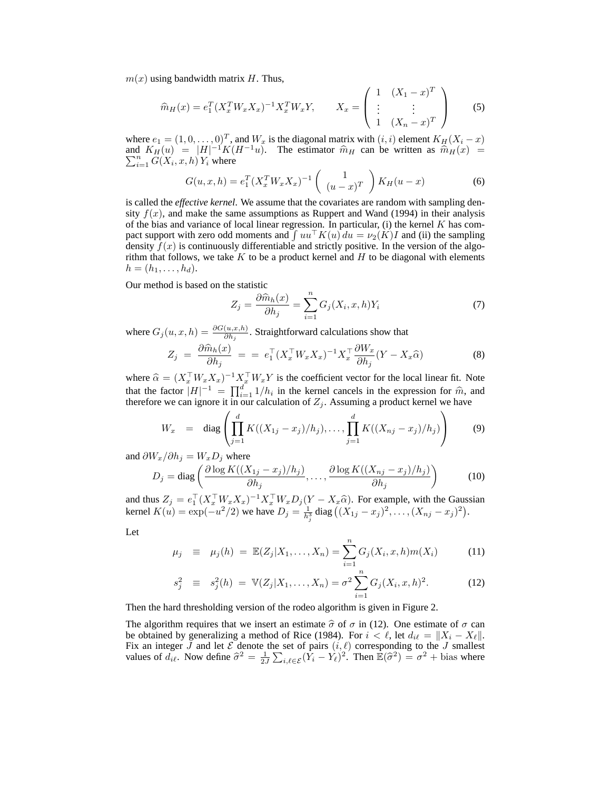$m(x)$  using bandwidth matrix H. Thus,

$$
\widehat{m}_H(x) = e_1^T (X_x^T W_x X_x)^{-1} X_x^T W_x Y, \qquad X_x = \begin{pmatrix} 1 & (X_1 - x)^T \\ \vdots & \vdots \\ 1 & (X_n - x)^T \end{pmatrix}
$$
 (5)

 $\sqrt{T}$ 

where  $e_1 = (1, 0, \ldots, 0)^T$ , and  $W_x$  is the diagonal matrix with  $(i, i)$  element  $K_H(X_i - x)$ and  $K_H(u) = |H|^{-1} K(H^{-1})$ and  $K_H(u) = |H|^{-1} K(H^{-1}u)$ . The estimator  $\hat{m}_H$  can be written as  $\hat{m}_H(x) = \sum_{i=1}^n G(X_i, x, h) Y_i$  where

$$
G(u, x, h) = e_1^T (X_x^T W_x X_x)^{-1} \begin{pmatrix} 1 \\ (u - x)^T \end{pmatrix} K_H(u - x)
$$
 (6)

is called the *effective kernel*. We assume that the covariates are random with sampling density  $f(x)$ , and make the same assumptions as Ruppert and Wand (1994) in their analysis of the bias and variance of local linear regression. In particular, (i) the kernel  $K$  has compact support with zero odd moments and  $\int uu^\top K(u) du = \nu_2(K)I$  and (ii) the sampling density  $f(x)$  is continuously differentiable and strictly positive. In the version of the algorithm that follows, we take  $K$  to be a product kernel and  $H$  to be diagonal with elements  $h = (h_1, \ldots, h_d).$ 

Our method is based on the statistic

$$
Z_j = \frac{\partial \hat{m}_h(x)}{\partial h_j} = \sum_{i=1}^n G_j(X_i, x, h) Y_i \tag{7}
$$

where  $G_j(u, x, h) = \frac{\partial G(u, x, h)}{\partial h_j}$ . Straightforward calculations show that

$$
Z_j = \frac{\partial \widehat{m}_h(x)}{\partial h_j} = e_1^\top (X_x^\top W_x X_x)^{-1} X_x^\top \frac{\partial W_x}{\partial h_j} (Y - X_x \widehat{\alpha}) \tag{8}
$$

where  $\hat{\alpha} = (X_x^\top W_x X_x)^{-1} X_x^\top W_x Y$  is the coefficient vector for the local linear fit. Note that the factor  $|H|^{-1} = \prod_{i=1}^d 1/h_i$  in the kernel cancels in the expression for  $\hat{m}$ , and therefore we can ignore it in our calculation of  $Z_j$ . Assuming a product kernel we have

$$
W_x = \text{diag}\left(\prod_{j=1}^d K((X_{1j}-x_j)/h_j), \dots, \prod_{j=1}^d K((X_{nj}-x_j)/h_j)\right) \tag{9}
$$

and  $\partial W_x/\partial h_i = W_x D_i$  where

$$
D_j = \text{diag}\left(\frac{\partial \log K((X_{1j} - x_j)/h_j)}{\partial h_j}, \dots, \frac{\partial \log K((X_{nj} - x_j)/h_j)}{\partial h_j}\right) \tag{10}
$$

and thus  $Z_j = e_1^\top (X_x^\top W_x X_x)^{-1} X_x^\top W_x D_j (Y - X_x \hat{\alpha})$ . For example, with the Gaussian kernel  $K(u) = \exp(-u^2/2)$  we have  $D_j = \frac{1}{h_j^3} \text{diag}((X_{1j} - x_j)^2, \dots, (X_{nj} - x_j)^2)$ .

Let

$$
\mu_j \equiv \mu_j(h) = \mathbb{E}(Z_j | X_1, \dots, X_n) = \sum_{i=1}^n G_j(X_i, x, h) m(X_i)
$$
 (11)

$$
s_j^2 \equiv s_j^2(h) = \mathbb{V}(Z_j | X_1, \dots, X_n) = \sigma^2 \sum_{i=1}^n G_j(X_i, x, h)^2.
$$
 (12)

Then the hard thresholding version of the rodeo algorithm is given in Figure 2.

The algorithm requires that we insert an estimate  $\hat{\sigma}$  of  $\sigma$  in (12). One estimate of  $\sigma$  can be obtained by generalizing a method of Rice (1984). For  $i < \ell$ , let  $d_{i\ell} = ||X_i - X_{\ell}||$ . Fix an integer J and let  $\mathcal{E}$  denote the set of pairs  $(i, \ell)$  corresponding to the J smallest values of  $d_{i\ell}$ . Now define  $\hat{\sigma}^2 = \frac{1}{2J} \sum_{i,\ell \in \mathcal{E}} (\hat{Y}_i - \hat{Y}_\ell)^2$ . Then  $\mathbb{E}(\hat{\sigma}^2) = \sigma^2 + \text{bias}$  where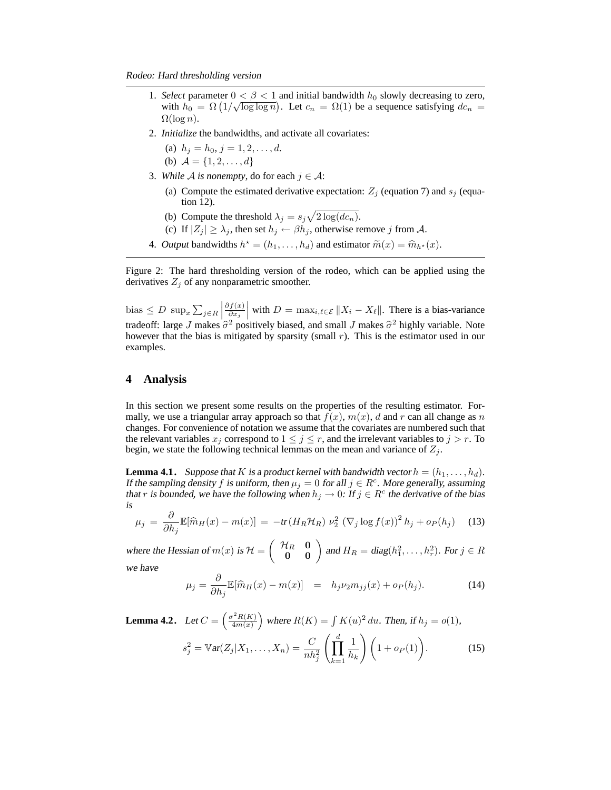Rodeo: Hard thresholding version

- 1. *Select* parameter  $0 < \beta < 1$  and initial bandwidth  $h_0$  slowly decreasing to zero, with  $h_0 = \Omega(1/\sqrt{\log \log n})$ . Let  $c_n = \Omega(1)$  be a sequence satisfying  $dc_n =$  $\Omega(\log n)$ .
- 2. *Initialize* the bandwidths, and activate all covariates:
	- (a)  $h_j = h_0, j = 1, 2, \ldots, d$ .
	- (b)  $A = \{1, 2, ..., d\}$
- 3. *While*  $\mathcal A$  *is nonempty*, do for each  $j \in \mathcal A$ :
	- (a) Compute the estimated derivative expectation:  $Z_j$  (equation 7) and  $s_j$  (equation 12).
	- (b) Compute the threshold  $\lambda_j = s_j \sqrt{2 \log(d c_n)}$ .
	- (c) If  $|Z_j| \geq \lambda_j$ , then set  $h_j \leftarrow \beta h_j$ , otherwise remove j from A.
- 4. *Output* bandwidths  $h^* = (h_1, \ldots, h_d)$  and estimator  $\widetilde{m}(x) = \widehat{m}_{h^*}(x)$ .

Figure 2: The hard thresholding version of the rodeo, which can be applied using the derivatives  $Z_i$  of any nonparametric smoother.

bias  $\leq D \sup_x \sum_{j \in R}$   $\partial f(x)$  $\partial x_j$ with  $D = \max_{i,\ell \in \mathcal{E}} ||X_i - X_\ell||$ . There is a bias-variance tradeoff: large J makes  $\hat{\sigma}^2$  positively biased, and small J makes  $\hat{\sigma}^2$  highly variable. Note however that the bias is mitigated by sparsity (small  $r$ ). This is the estimator used in our examples.

# **4 Analysis**

In this section we present some results on the properties of the resulting estimator. Formally, we use a triangular array approach so that  $f(x)$ ,  $m(x)$ , d and r can all change as n changes. For convenience of notation we assume that the covariates are numbered such that the relevant variables  $x_j$  correspond to  $1 \leq j \leq r$ , and the irrelevant variables to  $j > r$ . To begin, we state the following technical lemmas on the mean and variance of  $Z_i$ .

**Lemma 4.1.** Suppose that K is a product kernel with bandwidth vector  $h = (h_1, \ldots, h_d)$ . If the sampling density f is uniform, then  $\mu_j = 0$  for all  $j \in R^c$ . More generally, assuming that r is bounded, we have the following when  $h_j \to 0$ : If  $j \in R^c$  the derivative of the bias is ∂

$$
\mu_j = \frac{\partial}{\partial h_j} \mathbb{E}[\hat{m}_H(x) - m(x)] = -\text{tr}(H_R \mathcal{H}_R) \nu_2^2 (\nabla_j \log f(x))^2 h_j + o_P(h_j) \quad (13)
$$

where the Hessian of  $m(x)$  is  $\mathcal{H} =$  $\begin{pmatrix} \mathcal{H}_R & \mathbf{0} \\ \mathbf{0} & \mathbf{0} \end{pmatrix}$  and  $H_R = \text{diag}(h_1^2, \dots, h_r^2)$ . For  $j \in R$ 

we have

$$
\mu_j = \frac{\partial}{\partial h_j} \mathbb{E}[\widehat{m}_H(x) - m(x)] = h_j \nu_2 m_{jj}(x) + o_P(h_j). \tag{14}
$$

**Lemma 4.2.** Let  $C = \left(\frac{\sigma^2 R(K)}{4m(r)}\right)$  $4m(x)$ where  $R(K) = \int K(u)^2 du$ . Then, if  $h_j = o(1)$ ,  $s_j^2 = \mathbb{V}$ ar $(Z_j | X_1, \dots, X_n) = \frac{C}{nh_j^2}$  $\int \frac{d}{\prod}$  $k=1$ 1  $h_k$  $\bigg(1+o_P(1)\bigg)$  $(15)$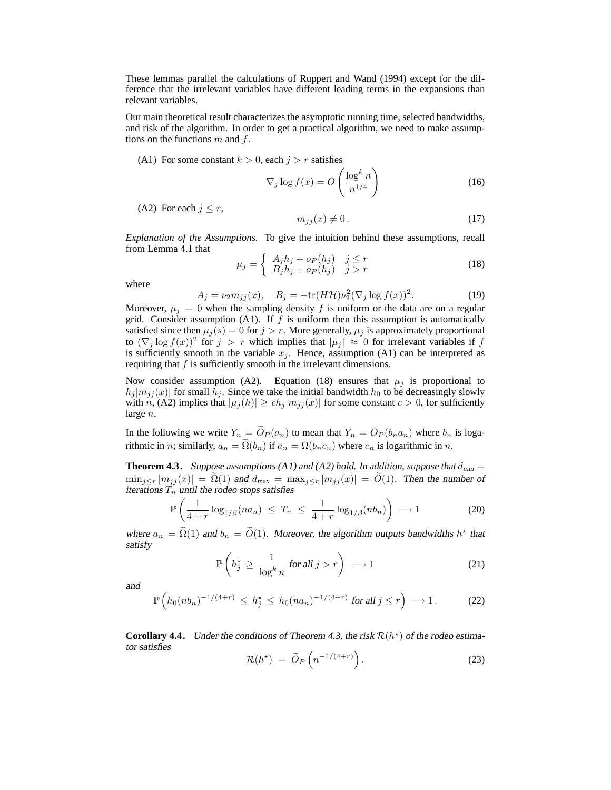These lemmas parallel the calculations of Ruppert and Wand (1994) except for the difference that the irrelevant variables have different leading terms in the expansions than relevant variables.

Our main theoretical result characterizes the asymptotic running time, selected bandwidths, and risk of the algorithm. In order to get a practical algorithm, we need to make assumptions on the functions  $m$  and  $f$ .

(A1) For some constant  $k > 0$ , each  $j > r$  satisfies

$$
\nabla_j \log f(x) = O\left(\frac{\log^k n}{n^{1/4}}\right) \tag{16}
$$

(A2) For each  $j \leq r$ ,

$$
m_{jj}(x) \neq 0. \tag{17}
$$

*Explanation of the Assumptions.* To give the intuition behind these assumptions, recall from Lemma 4.1 that

$$
\mu_j = \begin{cases} A_j h_j + o_P(h_j) & j \le r \\ B_j h_j + o_P(h_j) & j > r \end{cases}
$$
\n(18)

where

$$
A_j = \nu_2 m_{jj}(x), \quad B_j = -\text{tr}(H\mathcal{H})\nu_2^2 (\nabla_j \log f(x))^2. \tag{19}
$$

Moreover,  $\mu_j = 0$  when the sampling density f is uniform or the data are on a regular grid. Consider assumption (A1). If  $\tilde{f}$  is uniform then this assumption is automatically satisfied since then  $\mu_j(s) = 0$  for  $j > r$ . More generally,  $\mu_j$  is approximately proportional to  $(\nabla_j \log f(x))^2$  for  $j > r$  which implies that  $|\mu_j| \approx 0$  for irrelevant variables if f is sufficiently smooth in the variable  $x_j$ . Hence, assumption (A1) can be interpreted as requiring that  $f$  is sufficiently smooth in the irrelevant dimensions.

Now consider assumption (A2). Equation (18) ensures that  $\mu_j$  is proportional to  $h_j |m_{jj}(x)|$  for small  $h_j$ . Since we take the initial bandwidth  $h_0$  to be decreasingly slowly with n, (A2) implies that  $|\mu_j(h)| \ge ch_j |m_{jj}(x)|$  for some constant  $c > 0$ , for sufficiently large  $n$ .

In the following we write  $Y_n = \tilde{O}_P(a_n)$  to mean that  $Y_n = O_P(b_n a_n)$  where  $b_n$  is logarithmic in n; similarly,  $a_n = \tilde{\Omega}(b_n)$  if  $a_n = \Omega(b_n c_n)$  where  $c_n$  is logarithmic in n.

**Theorem 4.3.** Suppose assumptions (A1) and (A2) hold. In addition, suppose that  $d_{\text{min}} =$  $\min_{j \leq r} |m_{jj}(x)| = \Omega(1)$  and  $d_{\max} = \max_{j \leq r} |m_{jj}(x)| = O(1)$ . Then the number of iterations  $\tilde{T}_n$  until the rodeo stops satisfies

$$
\mathbb{P}\left(\frac{1}{4+r}\log_{1/\beta}(na_n) \leq T_n \leq \frac{1}{4+r}\log_{1/\beta}(nb_n)\right) \longrightarrow 1 \tag{20}
$$

where  $a_n = \tilde{\Omega}(1)$  and  $b_n = \tilde{O}(1)$ . Moreover, the algorithm outputs bandwidths  $h^*$  that satisfy

$$
\mathbb{P}\left(h_j^* \ge \frac{1}{\log^k n} \text{ for all } j > r\right) \longrightarrow 1\tag{21}
$$

and

$$
\mathbb{P}\left(h_0(nb_n)^{-1/(4+r)} \le h_j^* \le h_0(na_n)^{-1/(4+r)} \text{ for all } j \le r\right) \longrightarrow 1. \tag{22}
$$

**Corollary 4.4.** Under the conditions of Theorem 4.3, the risk  $\mathcal{R}(h^*)$  of the rodeo estimator satisfies

$$
\mathcal{R}(h^*) = \widetilde{O}_P\left(n^{-4/(4+r)}\right). \tag{23}
$$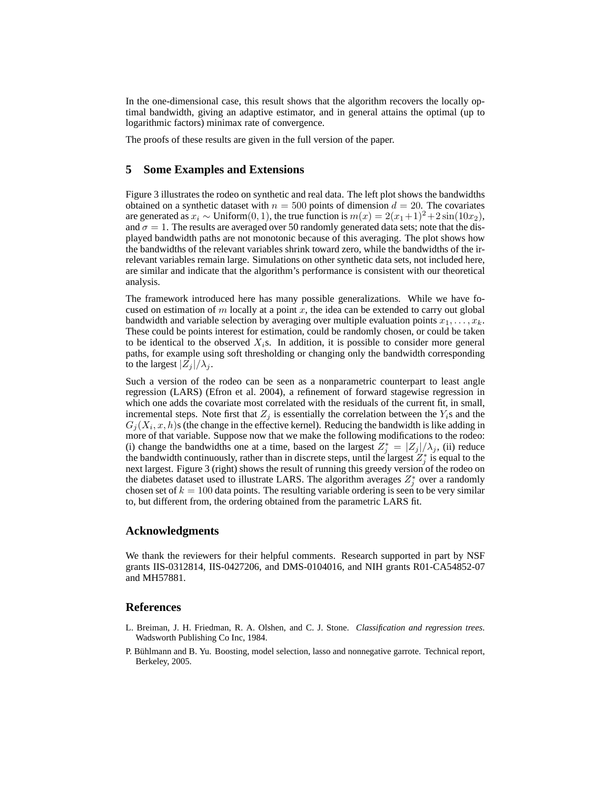In the one-dimensional case, this result shows that the algorithm recovers the locally optimal bandwidth, giving an adaptive estimator, and in general attains the optimal (up to logarithmic factors) minimax rate of convergence.

The proofs of these results are given in the full version of the paper.

# **5 Some Examples and Extensions**

Figure 3 illustrates the rodeo on synthetic and real data. The left plot shows the bandwidths obtained on a synthetic dataset with  $n = 500$  points of dimension  $d = 20$ . The covariates are generated as  $x_i \sim \text{Uniform}(0, 1)$ , the true function is  $m(x) = 2(x_1+1)^2+2\sin(10x_2)$ , and  $\sigma = 1$ . The results are averaged over 50 randomly generated data sets; note that the displayed bandwidth paths are not monotonic because of this averaging. The plot shows how the bandwidths of the relevant variables shrink toward zero, while the bandwidths of the irrelevant variables remain large. Simulations on other synthetic data sets, not included here, are similar and indicate that the algorithm's performance is consistent with our theoretical analysis.

The framework introduced here has many possible generalizations. While we have focused on estimation of m locally at a point x, the idea can be extended to carry out global bandwidth and variable selection by averaging over multiple evaluation points  $x_1, \ldots, x_k$ . These could be points interest for estimation, could be randomly chosen, or could be taken to be identical to the observed  $X_i$ s. In addition, it is possible to consider more general paths, for example using soft thresholding or changing only the bandwidth corresponding to the largest  $|Z_i|/\lambda_i$ .

Such a version of the rodeo can be seen as a nonparametric counterpart to least angle regression (LARS) (Efron et al. 2004), a refinement of forward stagewise regression in which one adds the covariate most correlated with the residuals of the current fit, in small, incremental steps. Note first that  $Z_i$  is essentially the correlation between the  $Y_i$ s and the  $G_j(X_i, x, h)$ s (the change in the effective kernel). Reducing the bandwidth is like adding in more of that variable. Suppose now that we make the following modifications to the rodeo: (i) change the bandwidths one at a time, based on the largest  $Z_j^* = |Z_j|/\lambda_j$ , (ii) reduce the bandwidth continuously, rather than in discrete steps, until the largest  $Z_j^*$  is equal to the next largest. Figure 3 (right) shows the result of running this greedy version of the rodeo on the diabetes dataset used to illustrate LARS. The algorithm averages  $Z_j^*$  over a randomly chosen set of  $k = 100$  data points. The resulting variable ordering is seen to be very similar to, but different from, the ordering obtained from the parametric LARS fit.

# **Acknowledgments**

We thank the reviewers for their helpful comments. Research supported in part by NSF grants IIS-0312814, IIS-0427206, and DMS-0104016, and NIH grants R01-CA54852-07 and MH57881.

### **References**

- L. Breiman, J. H. Friedman, R. A. Olshen, and C. J. Stone. *Classification and regression trees*. Wadsworth Publishing Co Inc, 1984.
- P. Bühlmann and B. Yu. Boosting, model selection, lasso and nonnegative garrote. Technical report, Berkeley, 2005.